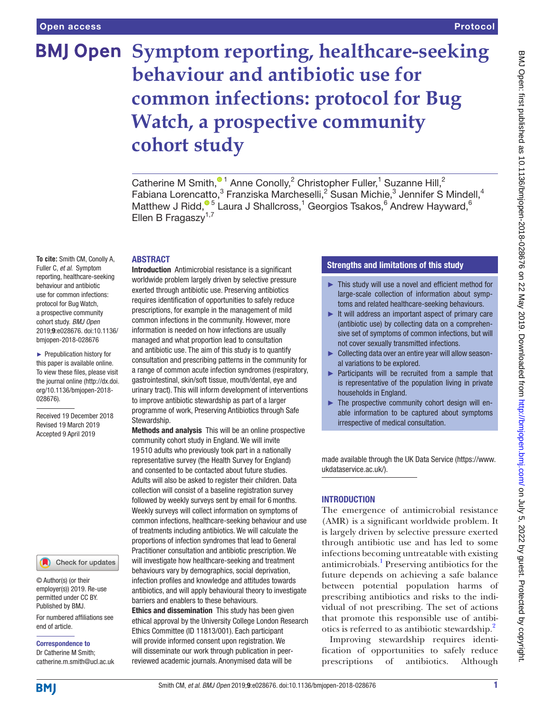# **Symptom reporting, healthcare-seeking behaviour and antibiotic use for common infections: protocol for Bug Watch, a prospective community cohort study**

Catherine M Smith,<sup>®1</sup> Anne Conolly,<sup>2</sup> Christopher Fuller,<sup>1</sup> Suzanne Hill,<sup>2</sup> Fabiana Lorencatto,<sup>[3](http://orcid.org/0000-0003-3959-8479)</sup> Franziska Marcheselli,<sup>2</sup> Susan Michie,<sup>3</sup> Jennifer S Mindell,<sup>4</sup> Matthew J Ridd,<sup>® 5</sup> Laura J Shallcross,<sup>1</sup> Georgios Tsakos,<sup>6</sup> Andrew Hayward,<sup>6</sup> Ellen B Fragaszy $1,7$  $1,7$ 

## **ABSTRACT**

**To cite:** Smith CM, Conolly A, Fuller C, *et al*. Symptom reporting, healthcare-seeking behaviour and antibiotic use for common infections: protocol for Bug Watch, a prospective community cohort study. *BMJ Open* 2019;9:e028676. doi:10.1136/ bmjopen-2018-028676

► Prepublication history for this paper is available online. To view these files, please visit the journal online [\(http://dx.doi.](http://dx.doi.org/10.1136/bmjopen-2018-028676) [org/10.1136/bmjopen-2018-](http://dx.doi.org/10.1136/bmjopen-2018-028676) [028676\)](http://dx.doi.org/10.1136/bmjopen-2018-028676).

Received 19 December 2018 Revised 19 March 2019 Accepted 9 April 2019

## Check for updates

© Author(s) (or their employer(s)) 2019. Re-use permitted under CC BY. Published by BMJ.

For numbered affiliations see end of article.

Correspondence to Dr Catherine M Smith; catherine.m.smith@ucl.ac.uk Introduction Antimicrobial resistance is a significant worldwide problem largely driven by selective pressure exerted through antibiotic use. Preserving antibiotics requires identification of opportunities to safely reduce prescriptions, for example in the management of mild common infections in the community. However, more information is needed on how infections are usually managed and what proportion lead to consultation and antibiotic use. The aim of this study is to quantify consultation and prescribing patterns in the community for a range of common acute infection syndromes (respiratory, gastrointestinal, skin/soft tissue, mouth/dental, eye and urinary tract). This will inform development of interventions to improve antibiotic stewardship as part of a larger programme of work, Preserving Antibiotics through Safe Stewardship.

Methods and analysis This will be an online prospective community cohort study in England. We will invite 19 510 adults who previously took part in a nationally representative survey (the Health Survey for England) and consented to be contacted about future studies. Adults will also be asked to register their children. Data collection will consist of a baseline registration survey followed by weekly surveys sent by email for 6months. Weekly surveys will collect information on symptoms of common infections, healthcare-seeking behaviour and use of treatments including antibiotics. We will calculate the proportions of infection syndromes that lead to General Practitioner consultation and antibiotic prescription. We will investigate how healthcare-seeking and treatment behaviours vary by demographics, social deprivation, infection profiles and knowledge and attitudes towards antibiotics, and will apply behavioural theory to investigate barriers and enablers to these behaviours.

**Ethics and dissemination** This study has been given ethical approval by the University College London Research Ethics Committee (ID 11813/001). Each participant will provide informed consent upon registration. We will disseminate our work through publication in peerreviewed academic journals. Anonymised data will be

# Strengths and limitations of this study

- ► This study will use a novel and efficient method for large-scale collection of information about symptoms and related healthcare-seeking behaviours.
- ► It will address an important aspect of primary care (antibiotic use) by collecting data on a comprehensive set of symptoms of common infections, but will not cover sexually transmitted infections.
- ► Collecting data over an entire year will allow seasonal variations to be explored.
- ► Participants will be recruited from a sample that is representative of the population living in private households in England.
- ► The prospective community cohort design will enable information to be captured about symptoms irrespective of medical consultation.

made available through the UK Data Service [\(https://www.](https://www.ukdataservice.ac.uk/) [ukdataservice.ac.uk/\)](https://www.ukdataservice.ac.uk/).

#### **INTRODUCTION**

The emergence of antimicrobial resistance (AMR) is a significant worldwide problem. It is largely driven by selective pressure exerted through antibiotic use and has led to some infections becoming untreatable with existing antimicrobials.<sup>[1](#page-5-0)</sup> Preserving antibiotics for the future depends on achieving a safe balance between potential population harms of prescribing antibiotics and risks to the individual of not prescribing. The set of actions that promote this responsible use of antibiotics is referred to as antibiotic stewardship.[2](#page-5-1)

Improving stewardship requires identification of opportunities to safely reduce prescriptions of antibiotics. Although

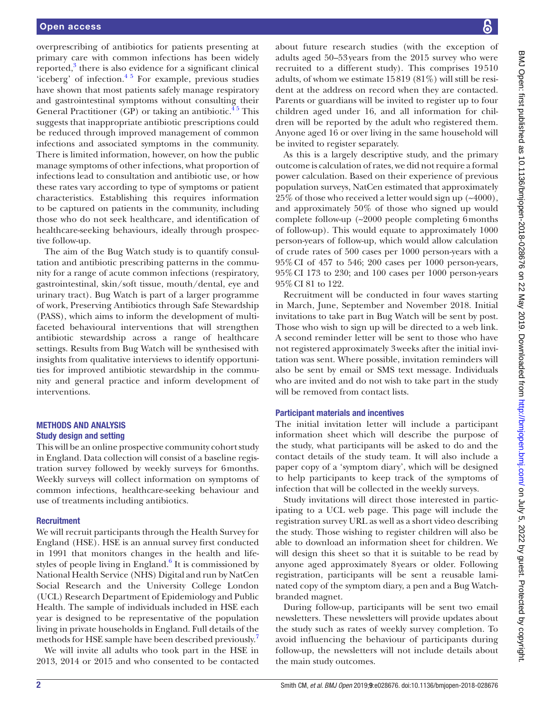overprescribing of antibiotics for patients presenting at primary care with common infections has been widely reported,<sup>3</sup> there is also evidence for a significant clinical 'iceberg' of infection.<sup>45</sup> For example, previous studies have shown that most patients safely manage respiratory and gastrointestinal symptoms without consulting their General Practitioner (GP) or taking an antibiotic.<sup>45</sup> This suggests that inappropriate antibiotic prescriptions could be reduced through improved management of common infections and associated symptoms in the community. There is limited information, however, on how the public manage symptoms of other infections, what proportion of infections lead to consultation and antibiotic use, or how these rates vary according to type of symptoms or patient characteristics. Establishing this requires information to be captured on patients in the community, including those who do not seek healthcare, and identification of healthcare-seeking behaviours, ideally through prospective follow-up.

The aim of the Bug Watch study is to quantify consultation and antibiotic prescribing patterns in the community for a range of acute common infections (respiratory, gastrointestinal, skin/soft tissue, mouth/dental, eye and urinary tract). Bug Watch is part of a larger programme of work, Preserving Antibiotics through Safe Stewardship (PASS), which aims to inform the development of multifaceted behavioural interventions that will strengthen antibiotic stewardship across a range of healthcare settings. Results from Bug Watch will be synthesised with insights from qualitative interviews to identify opportunities for improved antibiotic stewardship in the community and general practice and inform development of interventions.

## Methods and analysis Study design and setting

This will be an online prospective community cohort study in England. Data collection will consist of a baseline registration survey followed by weekly surveys for 6months. Weekly surveys will collect information on symptoms of common infections, healthcare-seeking behaviour and use of treatments including antibiotics.

#### **Recruitment**

We will recruit participants through the Health Survey for England (HSE). HSE is an annual survey first conducted in 1991 that monitors changes in the health and lifestyles of people living in England. $6$  It is commissioned by National Health Service (NHS) Digital and run by NatCen Social Research and the University College London (UCL) Research Department of Epidemiology and Public Health. The sample of individuals included in HSE each year is designed to be representative of the population living in private households in England. Full details of the methods for HSE sample have been described previously.<sup>[7](#page-5-5)</sup>

We will invite all adults who took part in the HSE in 2013, 2014 or 2015 and who consented to be contacted

about future research studies (with the exception of adults aged 50–53years from the 2015 survey who were recruited to a different study). This comprises 19510 adults, of whom we estimate 15819 (81%) will still be resident at the address on record when they are contacted. Parents or guardians will be invited to register up to four children aged under 16, and all information for children will be reported by the adult who registered them. Anyone aged 16 or over living in the same household will be invited to register separately.

As this is a largely descriptive study, and the primary outcome is calculation of rates, we did not require a formal power calculation. Based on their experience of previous population surveys, NatCen estimated that approximately 25% of those who received a letter would sign up (~4000), and approximately 50% of those who signed up would complete follow-up (~2000 people completing 6months of follow-up). This would equate to approximately 1000 person-years of follow-up, which would allow calculation of crude rates of 500 cases per 1000 person-years with a 95%CI of 457 to 546; 200 cases per 1000 person-years, 95%CI 173 to 230; and 100 cases per 1000 person-years 95%CI 81 to 122.

Recruitment will be conducted in four waves starting in March, June, September and November 2018. Initial invitations to take part in Bug Watch will be sent by post. Those who wish to sign up will be directed to a web link. A second reminder letter will be sent to those who have not registered approximately 3weeks after the initial invitation was sent. Where possible, invitation reminders will also be sent by email or SMS text message. Individuals who are invited and do not wish to take part in the study will be removed from contact lists.

#### Participant materials and incentives

The initial invitation letter will include a participant information sheet which will describe the purpose of the study, what participants will be asked to do and the contact details of the study team. It will also include a paper copy of a 'symptom diary', which will be designed to help participants to keep track of the symptoms of infection that will be collected in the weekly surveys.

Study invitations will direct those interested in participating to a UCL web page. This page will include the registration survey URL as well as a short video describing the study. Those wishing to register children will also be able to download an information sheet for children. We will design this sheet so that it is suitable to be read by anyone aged approximately 8years or older. Following registration, participants will be sent a reusable laminated copy of the symptom diary, a pen and a Bug Watchbranded magnet.

During follow-up, participants will be sent two email newsletters. These newsletters will provide updates about the study such as rates of weekly survey completion. To avoid influencing the behaviour of participants during follow-up, the newsletters will not include details about the main study outcomes.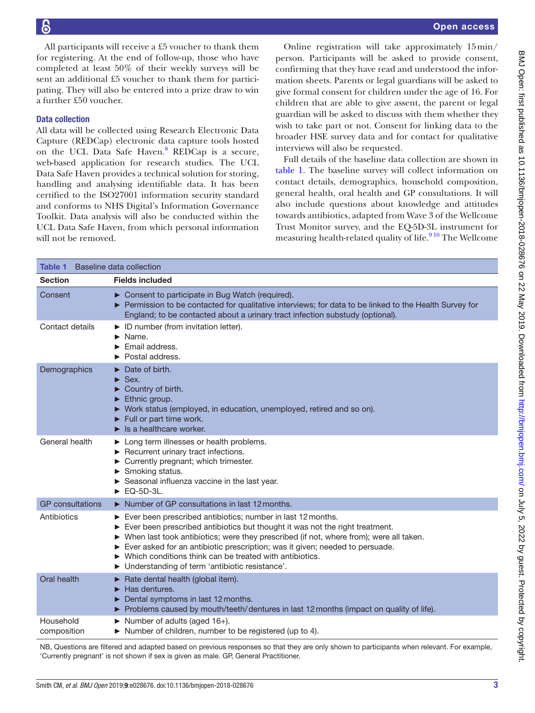All participants will receive a £5 voucher to thank them for registering. At the end of follow-up, those who have completed at least 50% of their weekly surveys will be sent an additional £5 voucher to thank them for participating. They will also be entered into a prize draw to win a further £50 voucher.

# Data collection

All data will be collected using Research Electronic Data Capture (REDCap) electronic data capture tools hosted on the UCL Data Safe Haven.<sup>[8](#page-5-6)</sup> REDCap is a secure, web-based application for research studies. The UCL Data Safe Haven provides a technical solution for storing, handling and analysing identifiable data. It has been certified to the ISO27001 information security standard and conforms to NHS Digital's Information Governance Toolkit. Data analysis will also be conducted within the UCL Data Safe Haven, from which personal information will not be removed.

Online registration will take approximately 15min/ person. Participants will be asked to provide consent, confirming that they have read and understood the information sheets. Parents or legal guardians will be asked to give formal consent for children under the age of 16. For children that are able to give assent, the parent or legal guardian will be asked to discuss with them whether they wish to take part or not. Consent for linking data to the broader HSE survey data and for contact for qualitative interviews will also be requested.

Full details of the baseline data collection are shown in [table](#page-2-0) 1. The baseline survey will collect information on contact details, demographics, household composition, general health, oral health and GP consultations. It will also include questions about knowledge and attitudes towards antibiotics, adapted from Wave 3 of the Wellcome Trust Monitor survey, and the EQ-5D-3L instrument for measuring health-related quality of life.<sup>9 10</sup> The Wellcome

<span id="page-2-0"></span>

| Baseline data collection<br><b>Table 1</b> |                                                                                                                                                                                                                                                                                                                                                                                                                                                           |  |
|--------------------------------------------|-----------------------------------------------------------------------------------------------------------------------------------------------------------------------------------------------------------------------------------------------------------------------------------------------------------------------------------------------------------------------------------------------------------------------------------------------------------|--|
| <b>Section</b>                             | <b>Fields included</b>                                                                                                                                                                                                                                                                                                                                                                                                                                    |  |
| Consent                                    | $\triangleright$ Consent to participate in Bug Watch (required).<br>Permission to be contacted for qualitative interviews; for data to be linked to the Health Survey for<br>England; to be contacted about a urinary tract infection substudy (optional).                                                                                                                                                                                                |  |
| Contact details                            | > ID number (from invitation letter).<br>$\blacktriangleright$ Name.<br>$\blacktriangleright$ Fmail address.<br>Postal address.                                                                                                                                                                                                                                                                                                                           |  |
| Demographics                               | $\blacktriangleright$ Date of birth.<br>$\blacktriangleright$ Sex.<br>$\triangleright$ Country of birth.<br>$\blacktriangleright$ Ethnic group.<br>▶ Work status (employed, in education, unemployed, retired and so on).<br>$\blacktriangleright$ Full or part time work.<br>$\blacktriangleright$ Is a healthcare worker.                                                                                                                               |  |
| General health                             | > Long term illnesses or health problems.<br>$\blacktriangleright$ Recurrent urinary tract infections.<br>$\triangleright$ Currently pregnant; which trimester.<br>$\blacktriangleright$ Smoking status.<br>Seasonal influenza vaccine in the last year.<br>$\blacktriangleright$ EQ-5D-3L.                                                                                                                                                               |  |
| <b>GP</b> consultations                    | Number of GP consultations in last 12 months.                                                                                                                                                                                                                                                                                                                                                                                                             |  |
| Antibiotics                                | Ever been prescribed antibiotics; number in last 12 months.<br>Ever been prescribed antibiotics but thought it was not the right treatment.<br>▶ When last took antibiotics; were they prescribed (if not, where from); were all taken.<br>$\triangleright$ Ever asked for an antibiotic prescription; was it given; needed to persuade.<br>▶ Which conditions think can be treated with antibiotics.<br>► Understanding of term 'antibiotic resistance'. |  |
| Oral health                                | Rate dental health (global item).<br>$\blacktriangleright$ Has dentures.<br>$\triangleright$ Dental symptoms in last 12 months.<br>▶ Problems caused by mouth/teeth/dentures in last 12 months (impact on quality of life).                                                                                                                                                                                                                               |  |
| Household<br>composition                   | $\triangleright$ Number of adults (aged 16+).<br>> Number of children, number to be registered (up to 4).                                                                                                                                                                                                                                                                                                                                                 |  |

NB, Questions are filtered and adapted based on previous responses so that they are only shown to participants when relevant. For example, 'Currently pregnant' is not shown if sex is given as male. GP, General Practitioner.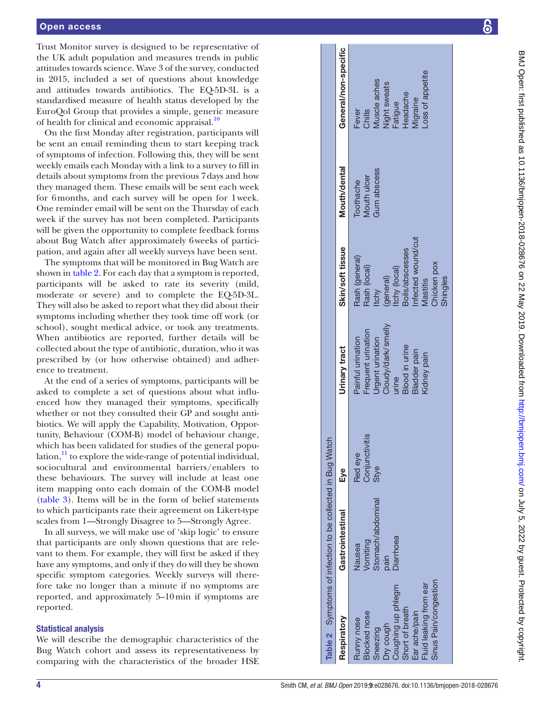Trust Monitor survey is designed to be representative of the UK adult population and measures trends in public attitudes towards science. Wave 3 of the survey, conducted in 2015, included a set of questions about knowledge and attitudes towards antibiotics. The EQ-5D-3L is a standardised measure of health status developed by the EuroQol Group that provides a simple, generic measure of health for clinical and economic appraisal. $10$ 

On the first Monday after registration, participants will be sent an email reminding them to start keeping track of symptoms of infection. Following this, they will be sent weekly emails each Monday with a link to a survey to fill in details about symptoms from the previous 7days and how they managed them. These emails will be sent each week for 6months, and each survey will be open for 1week. One reminder email will be sent on the Thursday of each week if the survey has not been completed. Participants will be given the opportunity to complete feedback forms about Bug Watch after approximately 6weeks of partici pation, and again after all weekly surveys have been sent.

The symptoms that will be monitored in Bug Watch are shown in [table](#page-3-0) 2. For each day that a symptom is reported, participants will be asked to rate its severity (mild, moderate or severe) and to complete the EQ-5D-3L. They will also be asked to report what they did about their symptoms including whether they took time off work (or school), sought medical advice, or took any treatments. When antibiotics are reported, further details will be collected about the type of antibiotic, duration, who it was prescribed by (or how otherwise obtained) and adherence to treatment.

At the end of a series of symptoms, participants will be asked to complete a set of questions about what influ enced how they managed their symptoms, specifically whether or not they consulted their GP and sought antibiotics. We will apply the Capability, Motivation, Opportunity, Behaviour (COM-B) model of behaviour change, which has been validated for studies of the general popu lation, $11$  to explore the wide-range of potential individual, sociocultural and environmental barriers/enablers to these behaviours. The survey will include at least one item mapping onto each domain of the COM-B model ([table](#page-4-0) 3). Items will be in the form of belief statements to which participants rate their agreement on Likert-type scales from 1—Strongly Disagree to 5—Strongly Agree.

In all surveys, we will make use of 'skip logic' to ensure that participants are only shown questions that are rele vant to them. For example, they will first be asked if they have any symptoms, and only if they do will they be shown specific symptom categories. Weekly surveys will there fore take no longer than a minute if no symptoms are reported, and approximately 5–10min if symptoms are reported.

#### Statistical analysis

<span id="page-3-0"></span>We will describe the demographic characteristics of the Bug Watch cohort and assess its representativeness by comparing with the characteristics of the broader HSE

| Respiratory                                                                                                                                                     | Gastrointestinal                                                      | Eye                               | Urinary tract                                                                                                                                                    | Skin/soft tissue                                                                                                                                                   | Mouth/dental                                   | General/non-specific                                                                                                  |
|-----------------------------------------------------------------------------------------------------------------------------------------------------------------|-----------------------------------------------------------------------|-----------------------------------|------------------------------------------------------------------------------------------------------------------------------------------------------------------|--------------------------------------------------------------------------------------------------------------------------------------------------------------------|------------------------------------------------|-----------------------------------------------------------------------------------------------------------------------|
| Sinus Pain/congestion<br>luid leaking from ear<br>Coughing up phlegm<br>Short of breath<br>Ear ache/pain<br>Blocked nose<br>Runny nose<br>Dry cough<br>Sneezing | Stomach/abdominal<br><b>Diarrhoea</b><br>Vomiting<br>Nausea<br>$n$ in | Conjunctivitis<br>Red eye<br>Stye | Cloudy/dark/smelly<br>Frequent urination<br><b>Jrgent urination</b><br>Painful urination<br><b>Blood</b> in urine<br><b>Bladder</b> pain<br>Kidney pain<br>urine | Infected wound/cut<br>Boils/abscesses<br>Rash (general)<br>Chicken pox<br>Rash (local)<br>tchy (local)<br>(general)<br><b>Shingles</b><br><b>Mastitis</b><br>Itchy | <b>Gum</b> abscess<br>Mouth ulcer<br>Toothache | -oss of appetite<br><b>Auscle aches</b><br><b>Vight sweats</b><br>Headache<br>Viigraine<br>Fatigue<br>Chills<br>Fever |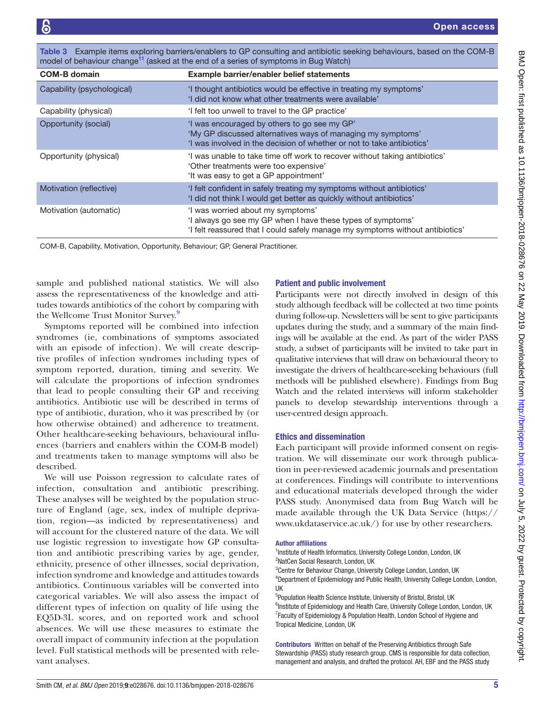|                            | $\frac{1}{2}$                                                                                                                                                                         |
|----------------------------|---------------------------------------------------------------------------------------------------------------------------------------------------------------------------------------|
| <b>COM-B domain</b>        | Example barrier/enabler belief statements                                                                                                                                             |
| Capability (psychological) | 'I thought antibiotics would be effective in treating my symptoms'<br>'I did not know what other treatments were available'                                                           |
| Capability (physical)      | 'I felt too unwell to travel to the GP practice'                                                                                                                                      |
| Opportunity (social)       | 'I was encouraged by others to go see my GP'<br>'My GP discussed alternatives ways of managing my symptoms'<br>'I was involved in the decision of whether or not to take antibiotics' |
| Opportunity (physical)     | 'I was unable to take time off work to recover without taking antibiotics'<br>'Other treatments were too expensive'<br>'It was easy to get a GP appointment'                          |
| Motivation (reflective)    | 'I felt confident in safely treating my symptoms without antibiotics'<br>'I did not think I would get better as quickly without antibiotics'                                          |
| Motivation (automatic)     | 'I was worried about my symptoms'<br>'I always go see my GP when I have these types of symptoms'<br>'I felt reassured that I could safely manage my symptoms without antibiotics'     |

<span id="page-4-0"></span>Example items exploring barriers/enablers to GP consulting and antibiotic seeking behaviours, based on the COM-B model of behaviour change<sup>11</sup> (asked at the end of a series of symptoms in Bug Watch)

COM-B, Capability, Motivation, Opportunity, Behaviour; GP, General Practitioner.

sample and published national statistics. We will also assess the representativeness of the knowledge and attitudes towards antibiotics of the cohort by comparing with the Wellcome Trust Monitor Survey.<sup>[9](#page-5-7)</sup>

Symptoms reported will be combined into infection syndromes (ie, combinations of symptoms associated with an episode of infection). We will create descriptive profiles of infection syndromes including types of symptom reported, duration, timing and severity. We will calculate the proportions of infection syndromes that lead to people consulting their GP and receiving antibiotics. Antibiotic use will be described in terms of type of antibiotic, duration, who it was prescribed by (or how otherwise obtained) and adherence to treatment. Other healthcare-seeking behaviours, behavioural influences (barriers and enablers within the COM-B model) and treatments taken to manage symptoms will also be described.

We will use Poisson regression to calculate rates of infection, consultation and antibiotic prescribing. These analyses will be weighted by the population structure of England (age, sex, index of multiple deprivation, region—as indicted by representativeness) and will account for the clustered nature of the data. We will use logistic regression to investigate how GP consultation and antibiotic prescribing varies by age, gender, ethnicity, presence of other illnesses, social deprivation, infection syndrome and knowledge and attitudes towards antibiotics. Continuous variables will be converted into categorical variables. We will also assess the impact of different types of infection on quality of life using the EQ5D-3L scores, and on reported work and school absences. We will use these measures to estimate the overall impact of community infection at the population level. Full statistical methods will be presented with relevant analyses.

# Patient and public involvement

Participants were not directly involved in design of this study although feedback will be collected at two time points during follow-up. Newsletters will be sent to give participants updates during the study, and a summary of the main findings will be available at the end. As part of the wider PASS study, a subset of participants will be invited to take part in qualitative interviews that will draw on behavioural theory to investigate the drivers of healthcare-seeking behaviours (full methods will be published elsewhere). Findings from Bug Watch and the related interviews will inform stakeholder panels to develop stewardship interventions through a user-centred design approach.

## Ethics and dissemination

Each participant will provide informed consent on registration. We will disseminate our work through publication in peer-reviewed academic journals and presentation at conferences. Findings will contribute to interventions and educational materials developed through the wider PASS study. Anonymised data from Bug Watch will be made available through the UK Data Service ([https://](https://www.ukdataservice.ac.uk/) [www.ukdataservice.ac.uk/\)](https://www.ukdataservice.ac.uk/) for use by other researchers.

#### Author affiliations

<sup>1</sup>Institute of Health Informatics, University College London, London, UK <sup>2</sup>NatCen Social Research, London, UK

<sup>3</sup> Centre for Behaviour Change, University College London, London, UK <sup>4</sup>Department of Epidemiology and Public Health, University College London, London, UK

<sup>5</sup>Population Health Science Institute, University of Bristol, Bristol, UK <sup>6</sup>Institute of Epidemiology and Health Care, University College London, London, UK <sup>7</sup> Faculty of Epidemiology & Population Health, London School of Hygiene and Tropical Medicine, London, UK

Contributors Written on behalf of the Preserving Antibiotics through Safe Stewardship (PASS) study research group. CMS is responsible for data collection, management and analysis, and drafted the protocol. AH, EBF and the PASS study